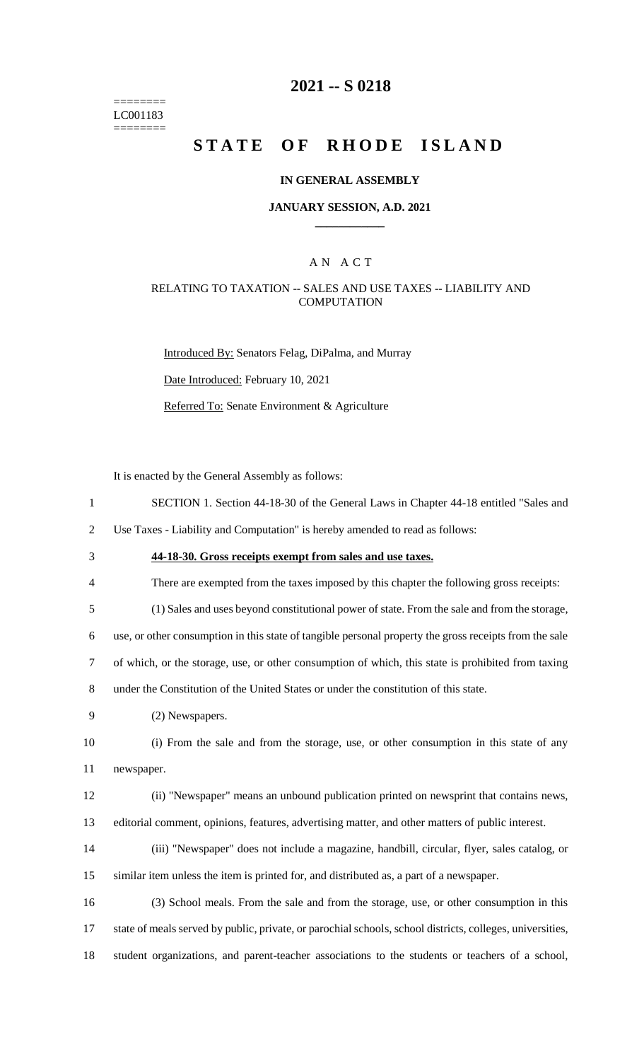======== LC001183 ========

### **2021 -- S 0218**

# **STATE OF RHODE ISLAND**

#### **IN GENERAL ASSEMBLY**

#### **JANUARY SESSION, A.D. 2021 \_\_\_\_\_\_\_\_\_\_\_\_**

#### A N A C T

### RELATING TO TAXATION -- SALES AND USE TAXES -- LIABILITY AND **COMPUTATION**

Introduced By: Senators Felag, DiPalma, and Murray Date Introduced: February 10, 2021 Referred To: Senate Environment & Agriculture

It is enacted by the General Assembly as follows:

- 1 SECTION 1. Section 44-18-30 of the General Laws in Chapter 44-18 entitled "Sales and
- 2 Use Taxes Liability and Computation" is hereby amended to read as follows:
- 3 **44-18-30. Gross receipts exempt from sales and use taxes.**
- 4 There are exempted from the taxes imposed by this chapter the following gross receipts:
- 5 (1) Sales and uses beyond constitutional power of state. From the sale and from the storage,

6 use, or other consumption in this state of tangible personal property the gross receipts from the sale

- 7 of which, or the storage, use, or other consumption of which, this state is prohibited from taxing
- 8 under the Constitution of the United States or under the constitution of this state.
- 9 (2) Newspapers.

10 (i) From the sale and from the storage, use, or other consumption in this state of any 11 newspaper.

- 12 (ii) "Newspaper" means an unbound publication printed on newsprint that contains news, 13 editorial comment, opinions, features, advertising matter, and other matters of public interest.
- 14 (iii) "Newspaper" does not include a magazine, handbill, circular, flyer, sales catalog, or 15 similar item unless the item is printed for, and distributed as, a part of a newspaper.
- 16 (3) School meals. From the sale and from the storage, use, or other consumption in this 17 state of meals served by public, private, or parochial schools, school districts, colleges, universities, 18 student organizations, and parent-teacher associations to the students or teachers of a school,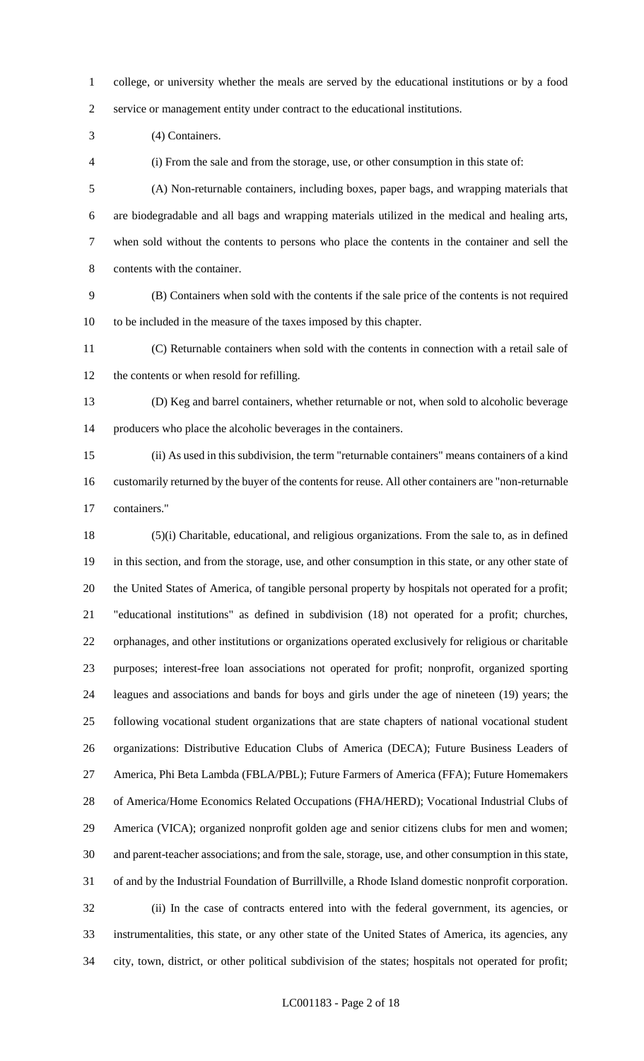college, or university whether the meals are served by the educational institutions or by a food service or management entity under contract to the educational institutions.

(4) Containers.

(i) From the sale and from the storage, use, or other consumption in this state of:

 (A) Non-returnable containers, including boxes, paper bags, and wrapping materials that are biodegradable and all bags and wrapping materials utilized in the medical and healing arts, when sold without the contents to persons who place the contents in the container and sell the contents with the container.

 (B) Containers when sold with the contents if the sale price of the contents is not required to be included in the measure of the taxes imposed by this chapter.

 (C) Returnable containers when sold with the contents in connection with a retail sale of the contents or when resold for refilling.

 (D) Keg and barrel containers, whether returnable or not, when sold to alcoholic beverage producers who place the alcoholic beverages in the containers.

 (ii) As used in this subdivision, the term "returnable containers" means containers of a kind customarily returned by the buyer of the contents for reuse. All other containers are "non-returnable containers."

 (5)(i) Charitable, educational, and religious organizations. From the sale to, as in defined in this section, and from the storage, use, and other consumption in this state, or any other state of the United States of America, of tangible personal property by hospitals not operated for a profit; "educational institutions" as defined in subdivision (18) not operated for a profit; churches, orphanages, and other institutions or organizations operated exclusively for religious or charitable purposes; interest-free loan associations not operated for profit; nonprofit, organized sporting leagues and associations and bands for boys and girls under the age of nineteen (19) years; the following vocational student organizations that are state chapters of national vocational student organizations: Distributive Education Clubs of America (DECA); Future Business Leaders of America, Phi Beta Lambda (FBLA/PBL); Future Farmers of America (FFA); Future Homemakers of America/Home Economics Related Occupations (FHA/HERD); Vocational Industrial Clubs of America (VICA); organized nonprofit golden age and senior citizens clubs for men and women; and parent-teacher associations; and from the sale, storage, use, and other consumption in this state, of and by the Industrial Foundation of Burrillville, a Rhode Island domestic nonprofit corporation. (ii) In the case of contracts entered into with the federal government, its agencies, or instrumentalities, this state, or any other state of the United States of America, its agencies, any city, town, district, or other political subdivision of the states; hospitals not operated for profit;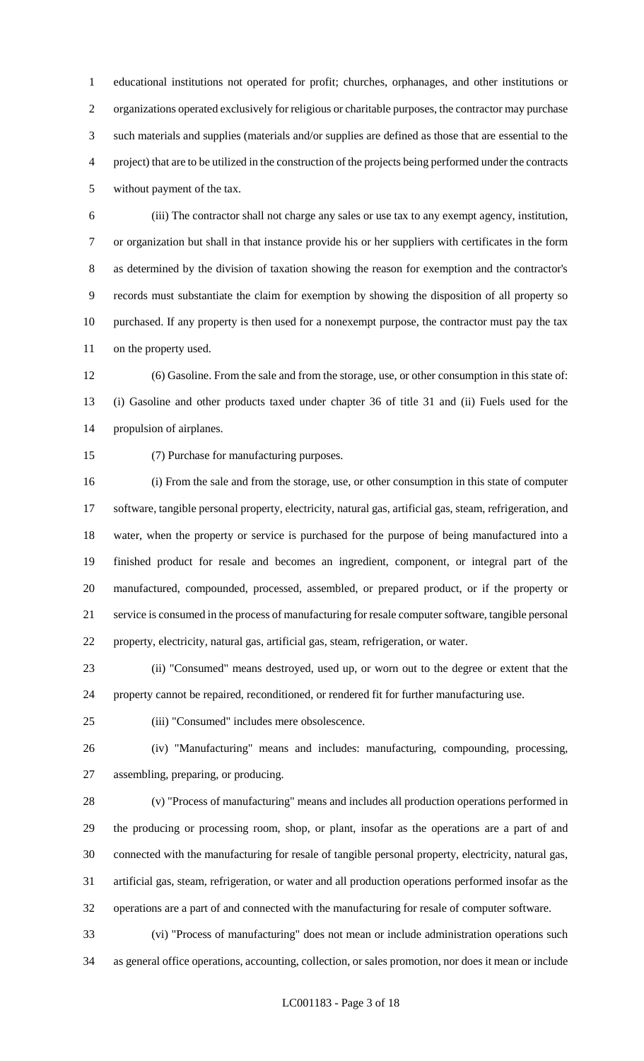educational institutions not operated for profit; churches, orphanages, and other institutions or organizations operated exclusively for religious or charitable purposes, the contractor may purchase such materials and supplies (materials and/or supplies are defined as those that are essential to the project) that are to be utilized in the construction of the projects being performed under the contracts without payment of the tax.

 (iii) The contractor shall not charge any sales or use tax to any exempt agency, institution, or organization but shall in that instance provide his or her suppliers with certificates in the form as determined by the division of taxation showing the reason for exemption and the contractor's records must substantiate the claim for exemption by showing the disposition of all property so purchased. If any property is then used for a nonexempt purpose, the contractor must pay the tax on the property used.

 (6) Gasoline. From the sale and from the storage, use, or other consumption in this state of: (i) Gasoline and other products taxed under chapter 36 of title 31 and (ii) Fuels used for the propulsion of airplanes.

(7) Purchase for manufacturing purposes.

 (i) From the sale and from the storage, use, or other consumption in this state of computer software, tangible personal property, electricity, natural gas, artificial gas, steam, refrigeration, and water, when the property or service is purchased for the purpose of being manufactured into a finished product for resale and becomes an ingredient, component, or integral part of the manufactured, compounded, processed, assembled, or prepared product, or if the property or service is consumed in the process of manufacturing for resale computer software, tangible personal property, electricity, natural gas, artificial gas, steam, refrigeration, or water.

 (ii) "Consumed" means destroyed, used up, or worn out to the degree or extent that the property cannot be repaired, reconditioned, or rendered fit for further manufacturing use.

(iii) "Consumed" includes mere obsolescence.

 (iv) "Manufacturing" means and includes: manufacturing, compounding, processing, assembling, preparing, or producing.

 (v) "Process of manufacturing" means and includes all production operations performed in the producing or processing room, shop, or plant, insofar as the operations are a part of and connected with the manufacturing for resale of tangible personal property, electricity, natural gas, artificial gas, steam, refrigeration, or water and all production operations performed insofar as the operations are a part of and connected with the manufacturing for resale of computer software.

 (vi) "Process of manufacturing" does not mean or include administration operations such as general office operations, accounting, collection, or sales promotion, nor does it mean or include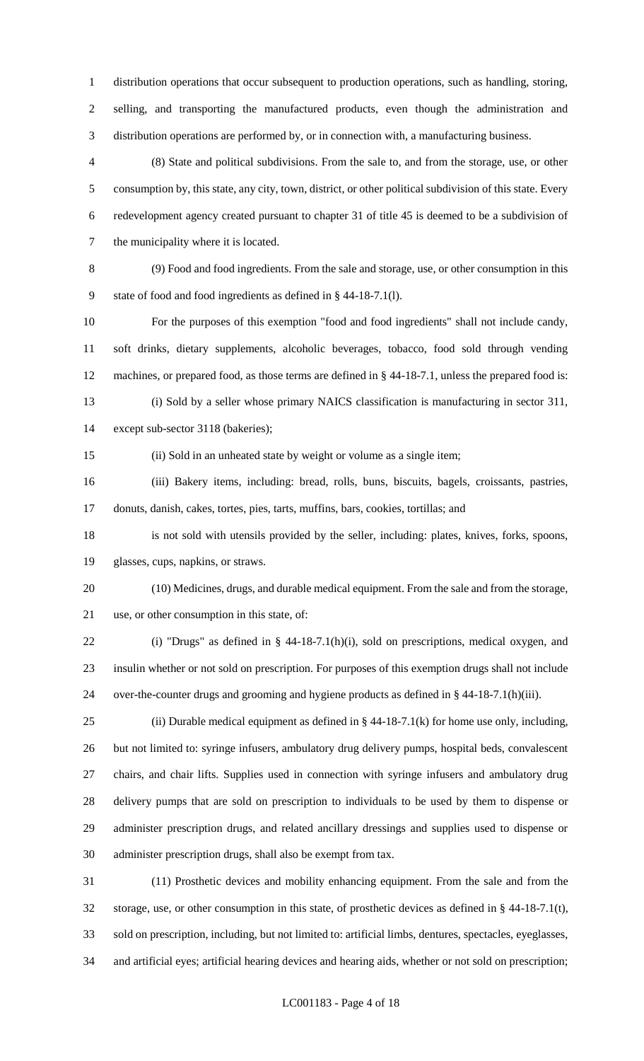distribution operations that occur subsequent to production operations, such as handling, storing, selling, and transporting the manufactured products, even though the administration and distribution operations are performed by, or in connection with, a manufacturing business.

 (8) State and political subdivisions. From the sale to, and from the storage, use, or other consumption by, this state, any city, town, district, or other political subdivision of this state. Every redevelopment agency created pursuant to chapter 31 of title 45 is deemed to be a subdivision of the municipality where it is located.

 (9) Food and food ingredients. From the sale and storage, use, or other consumption in this state of food and food ingredients as defined in § 44-18-7.1(l).

 For the purposes of this exemption "food and food ingredients" shall not include candy, soft drinks, dietary supplements, alcoholic beverages, tobacco, food sold through vending machines, or prepared food, as those terms are defined in § 44-18-7.1, unless the prepared food is: (i) Sold by a seller whose primary NAICS classification is manufacturing in sector 311,

except sub-sector 3118 (bakeries);

(ii) Sold in an unheated state by weight or volume as a single item;

 (iii) Bakery items, including: bread, rolls, buns, biscuits, bagels, croissants, pastries, donuts, danish, cakes, tortes, pies, tarts, muffins, bars, cookies, tortillas; and

 is not sold with utensils provided by the seller, including: plates, knives, forks, spoons, glasses, cups, napkins, or straws.

 (10) Medicines, drugs, and durable medical equipment. From the sale and from the storage, use, or other consumption in this state, of:

 (i) "Drugs" as defined in § 44-18-7.1(h)(i), sold on prescriptions, medical oxygen, and insulin whether or not sold on prescription. For purposes of this exemption drugs shall not include over-the-counter drugs and grooming and hygiene products as defined in § 44-18-7.1(h)(iii).

25 (ii) Durable medical equipment as defined in  $\S$  44-18-7.1(k) for home use only, including, but not limited to: syringe infusers, ambulatory drug delivery pumps, hospital beds, convalescent chairs, and chair lifts. Supplies used in connection with syringe infusers and ambulatory drug delivery pumps that are sold on prescription to individuals to be used by them to dispense or administer prescription drugs, and related ancillary dressings and supplies used to dispense or administer prescription drugs, shall also be exempt from tax.

 (11) Prosthetic devices and mobility enhancing equipment. From the sale and from the storage, use, or other consumption in this state, of prosthetic devices as defined in § 44-18-7.1(t), sold on prescription, including, but not limited to: artificial limbs, dentures, spectacles, eyeglasses, and artificial eyes; artificial hearing devices and hearing aids, whether or not sold on prescription;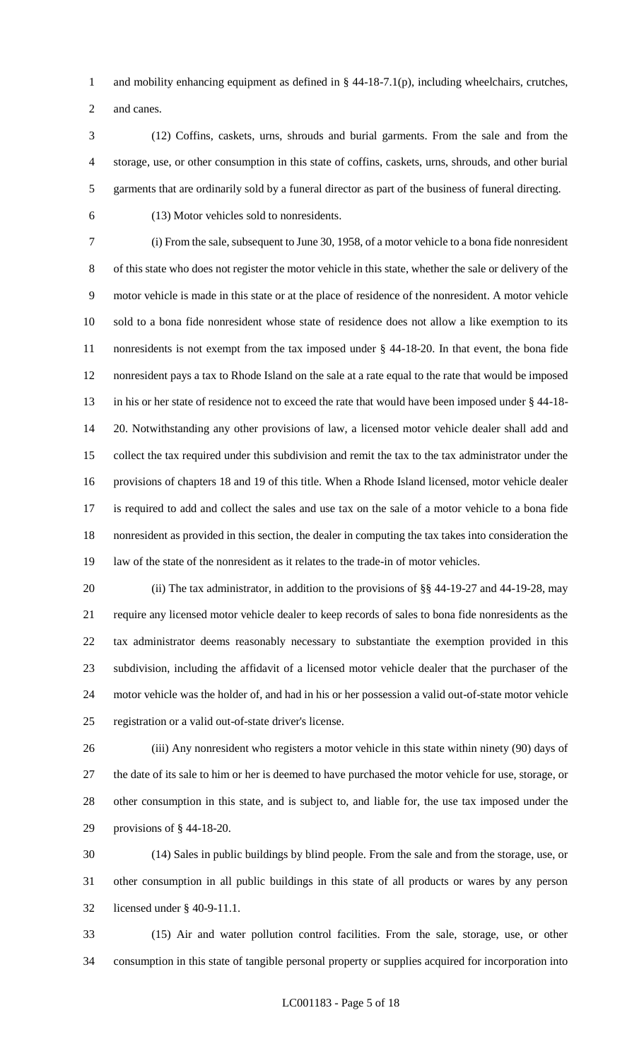1 and mobility enhancing equipment as defined in § 44-18-7.1(p), including wheelchairs, crutches, and canes.

 (12) Coffins, caskets, urns, shrouds and burial garments. From the sale and from the storage, use, or other consumption in this state of coffins, caskets, urns, shrouds, and other burial garments that are ordinarily sold by a funeral director as part of the business of funeral directing.

(13) Motor vehicles sold to nonresidents.

 (i) From the sale, subsequent to June 30, 1958, of a motor vehicle to a bona fide nonresident of this state who does not register the motor vehicle in this state, whether the sale or delivery of the motor vehicle is made in this state or at the place of residence of the nonresident. A motor vehicle sold to a bona fide nonresident whose state of residence does not allow a like exemption to its nonresidents is not exempt from the tax imposed under § 44-18-20. In that event, the bona fide nonresident pays a tax to Rhode Island on the sale at a rate equal to the rate that would be imposed in his or her state of residence not to exceed the rate that would have been imposed under § 44-18- 20. Notwithstanding any other provisions of law, a licensed motor vehicle dealer shall add and collect the tax required under this subdivision and remit the tax to the tax administrator under the provisions of chapters 18 and 19 of this title. When a Rhode Island licensed, motor vehicle dealer is required to add and collect the sales and use tax on the sale of a motor vehicle to a bona fide nonresident as provided in this section, the dealer in computing the tax takes into consideration the law of the state of the nonresident as it relates to the trade-in of motor vehicles.

20 (ii) The tax administrator, in addition to the provisions of §§ 44-19-27 and 44-19-28, may require any licensed motor vehicle dealer to keep records of sales to bona fide nonresidents as the tax administrator deems reasonably necessary to substantiate the exemption provided in this subdivision, including the affidavit of a licensed motor vehicle dealer that the purchaser of the motor vehicle was the holder of, and had in his or her possession a valid out-of-state motor vehicle registration or a valid out-of-state driver's license.

 (iii) Any nonresident who registers a motor vehicle in this state within ninety (90) days of the date of its sale to him or her is deemed to have purchased the motor vehicle for use, storage, or other consumption in this state, and is subject to, and liable for, the use tax imposed under the provisions of § 44-18-20.

 (14) Sales in public buildings by blind people. From the sale and from the storage, use, or other consumption in all public buildings in this state of all products or wares by any person licensed under § 40-9-11.1.

 (15) Air and water pollution control facilities. From the sale, storage, use, or other consumption in this state of tangible personal property or supplies acquired for incorporation into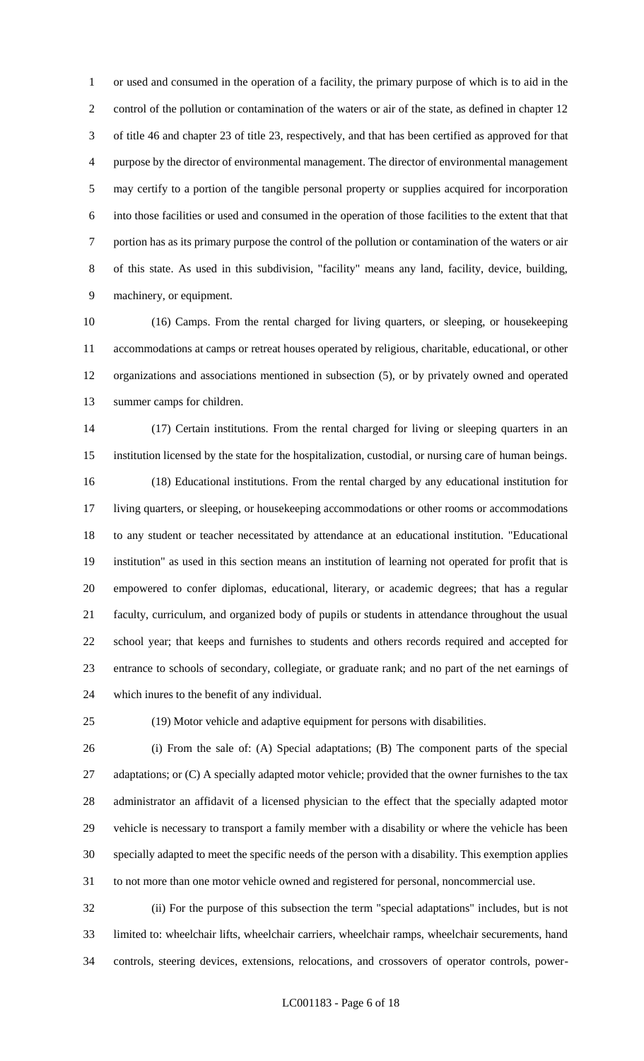or used and consumed in the operation of a facility, the primary purpose of which is to aid in the control of the pollution or contamination of the waters or air of the state, as defined in chapter 12 of title 46 and chapter 23 of title 23, respectively, and that has been certified as approved for that purpose by the director of environmental management. The director of environmental management may certify to a portion of the tangible personal property or supplies acquired for incorporation into those facilities or used and consumed in the operation of those facilities to the extent that that portion has as its primary purpose the control of the pollution or contamination of the waters or air of this state. As used in this subdivision, "facility" means any land, facility, device, building, machinery, or equipment.

 (16) Camps. From the rental charged for living quarters, or sleeping, or housekeeping accommodations at camps or retreat houses operated by religious, charitable, educational, or other organizations and associations mentioned in subsection (5), or by privately owned and operated summer camps for children.

 (17) Certain institutions. From the rental charged for living or sleeping quarters in an institution licensed by the state for the hospitalization, custodial, or nursing care of human beings. (18) Educational institutions. From the rental charged by any educational institution for living quarters, or sleeping, or housekeeping accommodations or other rooms or accommodations to any student or teacher necessitated by attendance at an educational institution. "Educational institution" as used in this section means an institution of learning not operated for profit that is empowered to confer diplomas, educational, literary, or academic degrees; that has a regular faculty, curriculum, and organized body of pupils or students in attendance throughout the usual school year; that keeps and furnishes to students and others records required and accepted for entrance to schools of secondary, collegiate, or graduate rank; and no part of the net earnings of which inures to the benefit of any individual.

(19) Motor vehicle and adaptive equipment for persons with disabilities.

 (i) From the sale of: (A) Special adaptations; (B) The component parts of the special 27 adaptations; or (C) A specially adapted motor vehicle; provided that the owner furnishes to the tax administrator an affidavit of a licensed physician to the effect that the specially adapted motor vehicle is necessary to transport a family member with a disability or where the vehicle has been specially adapted to meet the specific needs of the person with a disability. This exemption applies to not more than one motor vehicle owned and registered for personal, noncommercial use.

 (ii) For the purpose of this subsection the term "special adaptations" includes, but is not limited to: wheelchair lifts, wheelchair carriers, wheelchair ramps, wheelchair securements, hand controls, steering devices, extensions, relocations, and crossovers of operator controls, power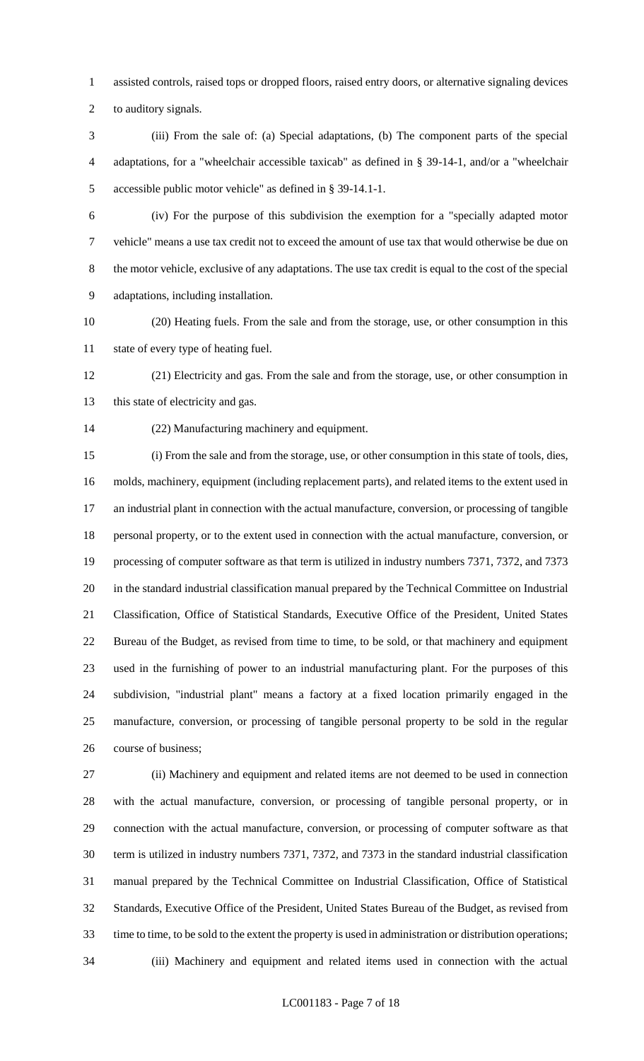assisted controls, raised tops or dropped floors, raised entry doors, or alternative signaling devices

to auditory signals.

 (iii) From the sale of: (a) Special adaptations, (b) The component parts of the special adaptations, for a "wheelchair accessible taxicab" as defined in § 39-14-1, and/or a "wheelchair accessible public motor vehicle" as defined in § 39-14.1-1.

 (iv) For the purpose of this subdivision the exemption for a "specially adapted motor vehicle" means a use tax credit not to exceed the amount of use tax that would otherwise be due on the motor vehicle, exclusive of any adaptations. The use tax credit is equal to the cost of the special adaptations, including installation.

 (20) Heating fuels. From the sale and from the storage, use, or other consumption in this state of every type of heating fuel.

 (21) Electricity and gas. From the sale and from the storage, use, or other consumption in 13 this state of electricity and gas.

(22) Manufacturing machinery and equipment.

 (i) From the sale and from the storage, use, or other consumption in this state of tools, dies, molds, machinery, equipment (including replacement parts), and related items to the extent used in an industrial plant in connection with the actual manufacture, conversion, or processing of tangible personal property, or to the extent used in connection with the actual manufacture, conversion, or processing of computer software as that term is utilized in industry numbers 7371, 7372, and 7373 in the standard industrial classification manual prepared by the Technical Committee on Industrial Classification, Office of Statistical Standards, Executive Office of the President, United States Bureau of the Budget, as revised from time to time, to be sold, or that machinery and equipment used in the furnishing of power to an industrial manufacturing plant. For the purposes of this subdivision, "industrial plant" means a factory at a fixed location primarily engaged in the manufacture, conversion, or processing of tangible personal property to be sold in the regular course of business;

 (ii) Machinery and equipment and related items are not deemed to be used in connection with the actual manufacture, conversion, or processing of tangible personal property, or in connection with the actual manufacture, conversion, or processing of computer software as that term is utilized in industry numbers 7371, 7372, and 7373 in the standard industrial classification manual prepared by the Technical Committee on Industrial Classification, Office of Statistical Standards, Executive Office of the President, United States Bureau of the Budget, as revised from time to time, to be sold to the extent the property is used in administration or distribution operations; (iii) Machinery and equipment and related items used in connection with the actual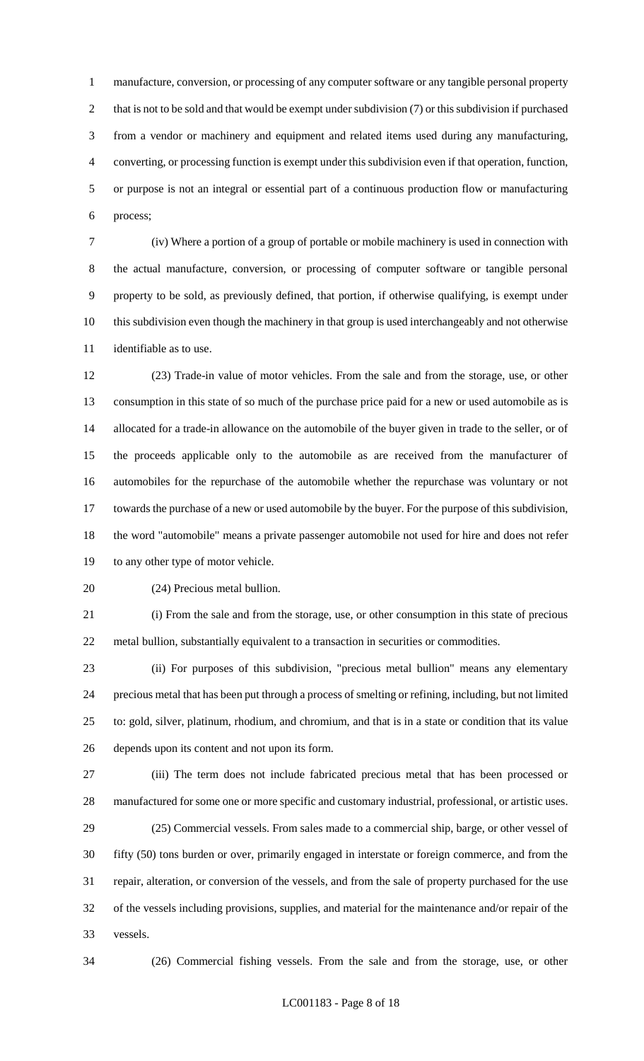manufacture, conversion, or processing of any computer software or any tangible personal property 2 that is not to be sold and that would be exempt under subdivision (7) or this subdivision if purchased from a vendor or machinery and equipment and related items used during any manufacturing, converting, or processing function is exempt under this subdivision even if that operation, function, or purpose is not an integral or essential part of a continuous production flow or manufacturing process;

 (iv) Where a portion of a group of portable or mobile machinery is used in connection with the actual manufacture, conversion, or processing of computer software or tangible personal property to be sold, as previously defined, that portion, if otherwise qualifying, is exempt under this subdivision even though the machinery in that group is used interchangeably and not otherwise identifiable as to use.

 (23) Trade-in value of motor vehicles. From the sale and from the storage, use, or other consumption in this state of so much of the purchase price paid for a new or used automobile as is allocated for a trade-in allowance on the automobile of the buyer given in trade to the seller, or of the proceeds applicable only to the automobile as are received from the manufacturer of automobiles for the repurchase of the automobile whether the repurchase was voluntary or not towards the purchase of a new or used automobile by the buyer. For the purpose of this subdivision, the word "automobile" means a private passenger automobile not used for hire and does not refer to any other type of motor vehicle.

(24) Precious metal bullion.

 (i) From the sale and from the storage, use, or other consumption in this state of precious metal bullion, substantially equivalent to a transaction in securities or commodities.

 (ii) For purposes of this subdivision, "precious metal bullion" means any elementary precious metal that has been put through a process of smelting or refining, including, but not limited to: gold, silver, platinum, rhodium, and chromium, and that is in a state or condition that its value depends upon its content and not upon its form.

 (iii) The term does not include fabricated precious metal that has been processed or manufactured for some one or more specific and customary industrial, professional, or artistic uses. (25) Commercial vessels. From sales made to a commercial ship, barge, or other vessel of

 fifty (50) tons burden or over, primarily engaged in interstate or foreign commerce, and from the repair, alteration, or conversion of the vessels, and from the sale of property purchased for the use of the vessels including provisions, supplies, and material for the maintenance and/or repair of the vessels.

(26) Commercial fishing vessels. From the sale and from the storage, use, or other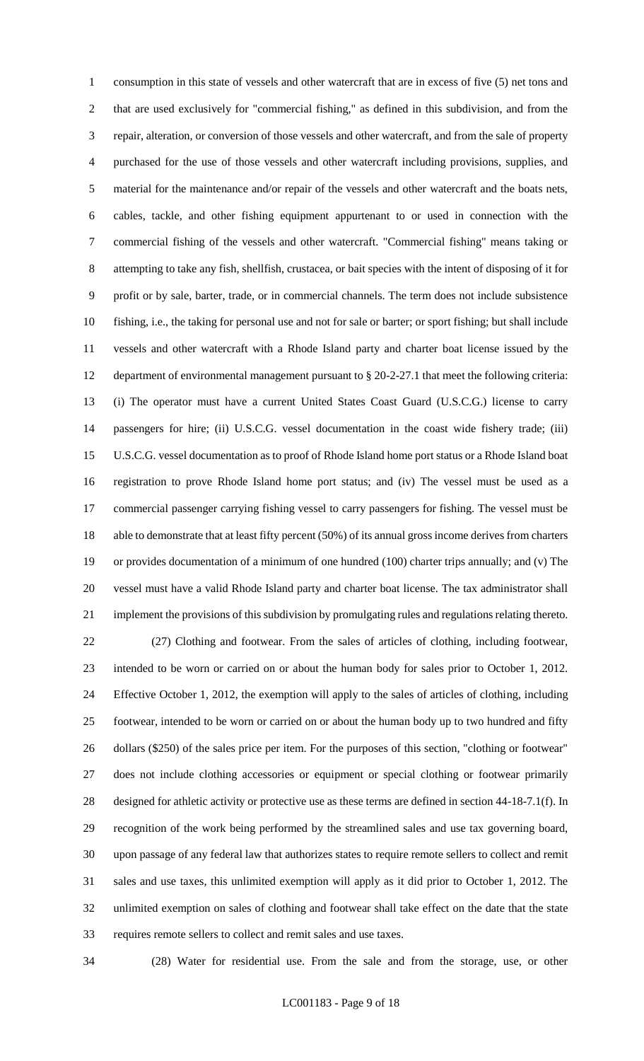consumption in this state of vessels and other watercraft that are in excess of five (5) net tons and that are used exclusively for "commercial fishing," as defined in this subdivision, and from the repair, alteration, or conversion of those vessels and other watercraft, and from the sale of property purchased for the use of those vessels and other watercraft including provisions, supplies, and material for the maintenance and/or repair of the vessels and other watercraft and the boats nets, cables, tackle, and other fishing equipment appurtenant to or used in connection with the commercial fishing of the vessels and other watercraft. "Commercial fishing" means taking or attempting to take any fish, shellfish, crustacea, or bait species with the intent of disposing of it for profit or by sale, barter, trade, or in commercial channels. The term does not include subsistence fishing, i.e., the taking for personal use and not for sale or barter; or sport fishing; but shall include vessels and other watercraft with a Rhode Island party and charter boat license issued by the department of environmental management pursuant to § 20-2-27.1 that meet the following criteria: (i) The operator must have a current United States Coast Guard (U.S.C.G.) license to carry passengers for hire; (ii) U.S.C.G. vessel documentation in the coast wide fishery trade; (iii) U.S.C.G. vessel documentation as to proof of Rhode Island home port status or a Rhode Island boat registration to prove Rhode Island home port status; and (iv) The vessel must be used as a commercial passenger carrying fishing vessel to carry passengers for fishing. The vessel must be able to demonstrate that at least fifty percent (50%) of its annual gross income derives from charters or provides documentation of a minimum of one hundred (100) charter trips annually; and (v) The vessel must have a valid Rhode Island party and charter boat license. The tax administrator shall implement the provisions of this subdivision by promulgating rules and regulations relating thereto. (27) Clothing and footwear. From the sales of articles of clothing, including footwear, intended to be worn or carried on or about the human body for sales prior to October 1, 2012. Effective October 1, 2012, the exemption will apply to the sales of articles of clothing, including footwear, intended to be worn or carried on or about the human body up to two hundred and fifty dollars (\$250) of the sales price per item. For the purposes of this section, "clothing or footwear" does not include clothing accessories or equipment or special clothing or footwear primarily designed for athletic activity or protective use as these terms are defined in section 44-18-7.1(f). In recognition of the work being performed by the streamlined sales and use tax governing board, upon passage of any federal law that authorizes states to require remote sellers to collect and remit sales and use taxes, this unlimited exemption will apply as it did prior to October 1, 2012. The unlimited exemption on sales of clothing and footwear shall take effect on the date that the state requires remote sellers to collect and remit sales and use taxes.

(28) Water for residential use. From the sale and from the storage, use, or other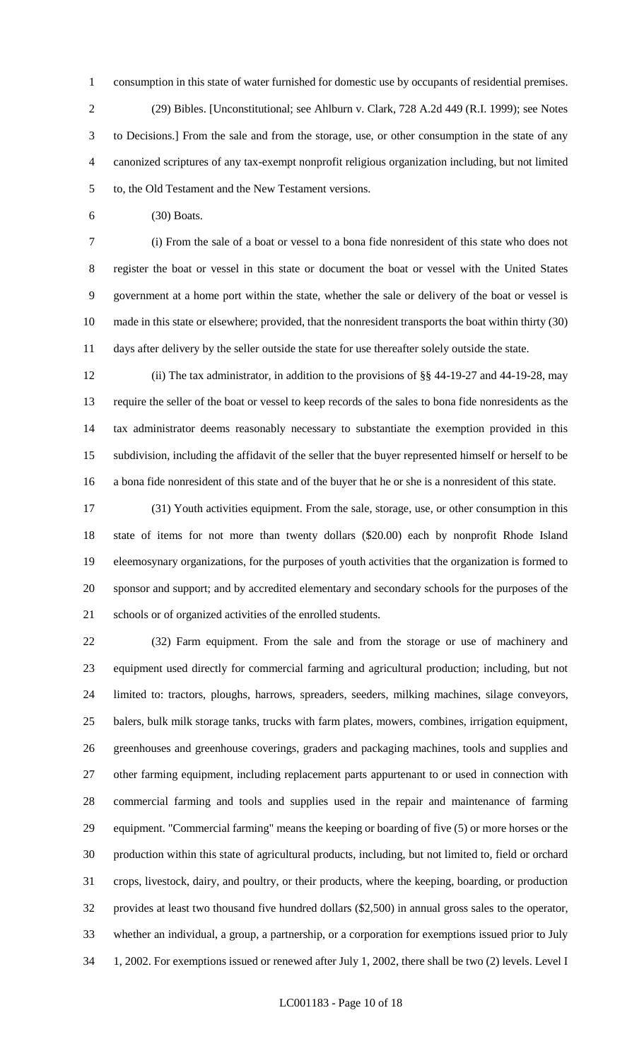consumption in this state of water furnished for domestic use by occupants of residential premises. (29) Bibles. [Unconstitutional; see Ahlburn v. Clark, 728 A.2d 449 (R.I. 1999); see Notes to Decisions.] From the sale and from the storage, use, or other consumption in the state of any canonized scriptures of any tax-exempt nonprofit religious organization including, but not limited to, the Old Testament and the New Testament versions.

(30) Boats.

 (i) From the sale of a boat or vessel to a bona fide nonresident of this state who does not register the boat or vessel in this state or document the boat or vessel with the United States government at a home port within the state, whether the sale or delivery of the boat or vessel is made in this state or elsewhere; provided, that the nonresident transports the boat within thirty (30) days after delivery by the seller outside the state for use thereafter solely outside the state.

 (ii) The tax administrator, in addition to the provisions of §§ 44-19-27 and 44-19-28, may require the seller of the boat or vessel to keep records of the sales to bona fide nonresidents as the tax administrator deems reasonably necessary to substantiate the exemption provided in this subdivision, including the affidavit of the seller that the buyer represented himself or herself to be a bona fide nonresident of this state and of the buyer that he or she is a nonresident of this state.

 (31) Youth activities equipment. From the sale, storage, use, or other consumption in this state of items for not more than twenty dollars (\$20.00) each by nonprofit Rhode Island eleemosynary organizations, for the purposes of youth activities that the organization is formed to sponsor and support; and by accredited elementary and secondary schools for the purposes of the schools or of organized activities of the enrolled students.

 (32) Farm equipment. From the sale and from the storage or use of machinery and equipment used directly for commercial farming and agricultural production; including, but not limited to: tractors, ploughs, harrows, spreaders, seeders, milking machines, silage conveyors, balers, bulk milk storage tanks, trucks with farm plates, mowers, combines, irrigation equipment, greenhouses and greenhouse coverings, graders and packaging machines, tools and supplies and other farming equipment, including replacement parts appurtenant to or used in connection with commercial farming and tools and supplies used in the repair and maintenance of farming equipment. "Commercial farming" means the keeping or boarding of five (5) or more horses or the production within this state of agricultural products, including, but not limited to, field or orchard crops, livestock, dairy, and poultry, or their products, where the keeping, boarding, or production provides at least two thousand five hundred dollars (\$2,500) in annual gross sales to the operator, whether an individual, a group, a partnership, or a corporation for exemptions issued prior to July 1, 2002. For exemptions issued or renewed after July 1, 2002, there shall be two (2) levels. Level I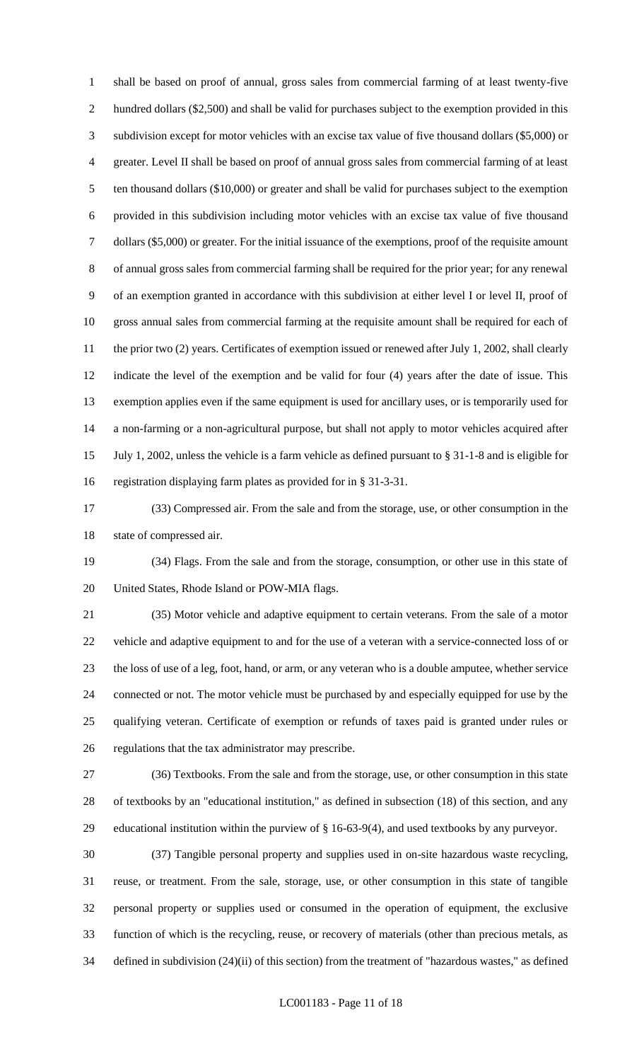shall be based on proof of annual, gross sales from commercial farming of at least twenty-five hundred dollars (\$2,500) and shall be valid for purchases subject to the exemption provided in this subdivision except for motor vehicles with an excise tax value of five thousand dollars (\$5,000) or greater. Level II shall be based on proof of annual gross sales from commercial farming of at least ten thousand dollars (\$10,000) or greater and shall be valid for purchases subject to the exemption provided in this subdivision including motor vehicles with an excise tax value of five thousand dollars (\$5,000) or greater. For the initial issuance of the exemptions, proof of the requisite amount of annual gross sales from commercial farming shall be required for the prior year; for any renewal of an exemption granted in accordance with this subdivision at either level I or level II, proof of gross annual sales from commercial farming at the requisite amount shall be required for each of 11 the prior two (2) years. Certificates of exemption issued or renewed after July 1, 2002, shall clearly indicate the level of the exemption and be valid for four (4) years after the date of issue. This exemption applies even if the same equipment is used for ancillary uses, or is temporarily used for a non-farming or a non-agricultural purpose, but shall not apply to motor vehicles acquired after July 1, 2002, unless the vehicle is a farm vehicle as defined pursuant to § 31-1-8 and is eligible for registration displaying farm plates as provided for in § 31-3-31.

 (33) Compressed air. From the sale and from the storage, use, or other consumption in the state of compressed air.

 (34) Flags. From the sale and from the storage, consumption, or other use in this state of United States, Rhode Island or POW-MIA flags.

 (35) Motor vehicle and adaptive equipment to certain veterans. From the sale of a motor vehicle and adaptive equipment to and for the use of a veteran with a service-connected loss of or the loss of use of a leg, foot, hand, or arm, or any veteran who is a double amputee, whether service connected or not. The motor vehicle must be purchased by and especially equipped for use by the qualifying veteran. Certificate of exemption or refunds of taxes paid is granted under rules or regulations that the tax administrator may prescribe.

 (36) Textbooks. From the sale and from the storage, use, or other consumption in this state of textbooks by an "educational institution," as defined in subsection (18) of this section, and any educational institution within the purview of § 16-63-9(4), and used textbooks by any purveyor.

 (37) Tangible personal property and supplies used in on-site hazardous waste recycling, reuse, or treatment. From the sale, storage, use, or other consumption in this state of tangible personal property or supplies used or consumed in the operation of equipment, the exclusive function of which is the recycling, reuse, or recovery of materials (other than precious metals, as defined in subdivision (24)(ii) of this section) from the treatment of "hazardous wastes," as defined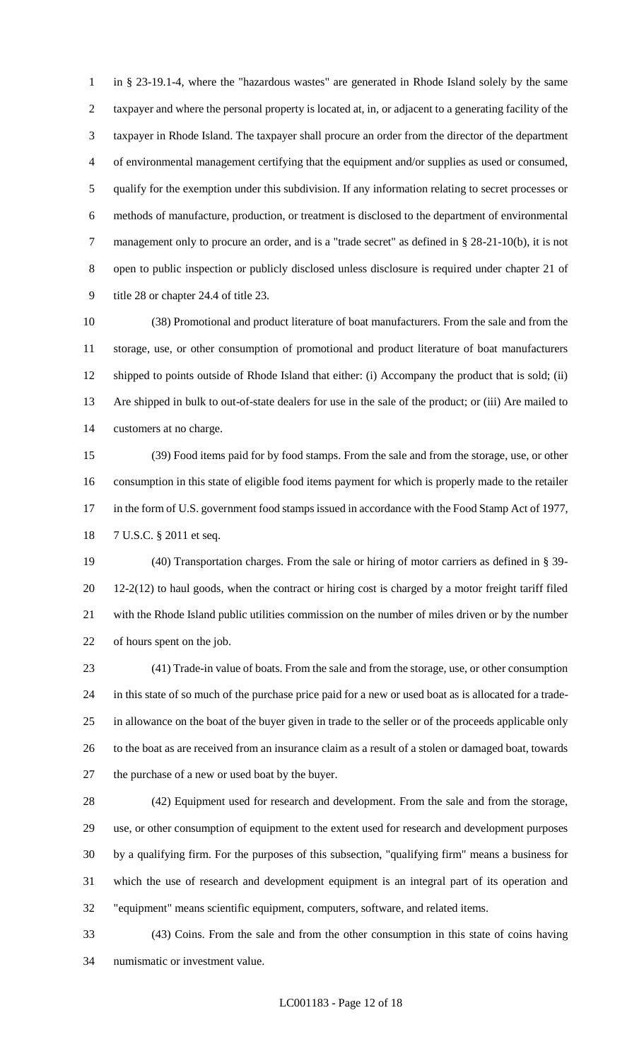in § 23-19.1-4, where the "hazardous wastes" are generated in Rhode Island solely by the same taxpayer and where the personal property is located at, in, or adjacent to a generating facility of the taxpayer in Rhode Island. The taxpayer shall procure an order from the director of the department of environmental management certifying that the equipment and/or supplies as used or consumed, qualify for the exemption under this subdivision. If any information relating to secret processes or methods of manufacture, production, or treatment is disclosed to the department of environmental management only to procure an order, and is a "trade secret" as defined in § 28-21-10(b), it is not open to public inspection or publicly disclosed unless disclosure is required under chapter 21 of title 28 or chapter 24.4 of title 23.

 (38) Promotional and product literature of boat manufacturers. From the sale and from the storage, use, or other consumption of promotional and product literature of boat manufacturers shipped to points outside of Rhode Island that either: (i) Accompany the product that is sold; (ii) Are shipped in bulk to out-of-state dealers for use in the sale of the product; or (iii) Are mailed to customers at no charge.

 (39) Food items paid for by food stamps. From the sale and from the storage, use, or other consumption in this state of eligible food items payment for which is properly made to the retailer 17 in the form of U.S. government food stamps issued in accordance with the Food Stamp Act of 1977, 7 U.S.C. § 2011 et seq.

 (40) Transportation charges. From the sale or hiring of motor carriers as defined in § 39- 12-2(12) to haul goods, when the contract or hiring cost is charged by a motor freight tariff filed with the Rhode Island public utilities commission on the number of miles driven or by the number of hours spent on the job.

 (41) Trade-in value of boats. From the sale and from the storage, use, or other consumption in this state of so much of the purchase price paid for a new or used boat as is allocated for a trade- in allowance on the boat of the buyer given in trade to the seller or of the proceeds applicable only to the boat as are received from an insurance claim as a result of a stolen or damaged boat, towards the purchase of a new or used boat by the buyer.

 (42) Equipment used for research and development. From the sale and from the storage, use, or other consumption of equipment to the extent used for research and development purposes by a qualifying firm. For the purposes of this subsection, "qualifying firm" means a business for which the use of research and development equipment is an integral part of its operation and "equipment" means scientific equipment, computers, software, and related items.

 (43) Coins. From the sale and from the other consumption in this state of coins having numismatic or investment value.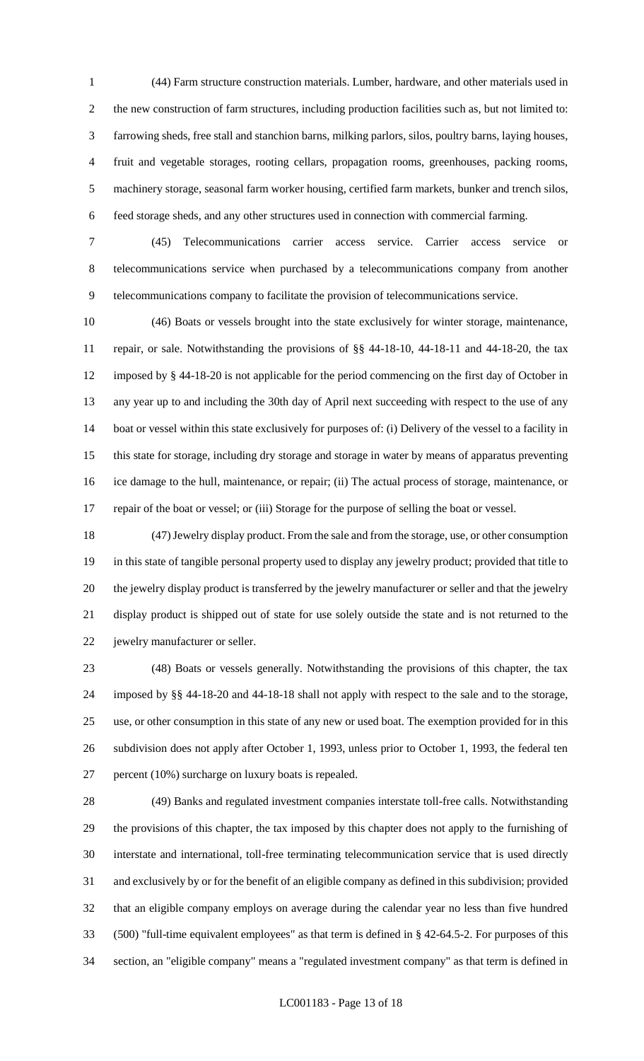(44) Farm structure construction materials. Lumber, hardware, and other materials used in the new construction of farm structures, including production facilities such as, but not limited to: farrowing sheds, free stall and stanchion barns, milking parlors, silos, poultry barns, laying houses, fruit and vegetable storages, rooting cellars, propagation rooms, greenhouses, packing rooms, machinery storage, seasonal farm worker housing, certified farm markets, bunker and trench silos, feed storage sheds, and any other structures used in connection with commercial farming.

 (45) Telecommunications carrier access service. Carrier access service or telecommunications service when purchased by a telecommunications company from another telecommunications company to facilitate the provision of telecommunications service.

 (46) Boats or vessels brought into the state exclusively for winter storage, maintenance, repair, or sale. Notwithstanding the provisions of §§ 44-18-10, 44-18-11 and 44-18-20, the tax imposed by § 44-18-20 is not applicable for the period commencing on the first day of October in any year up to and including the 30th day of April next succeeding with respect to the use of any boat or vessel within this state exclusively for purposes of: (i) Delivery of the vessel to a facility in this state for storage, including dry storage and storage in water by means of apparatus preventing ice damage to the hull, maintenance, or repair; (ii) The actual process of storage, maintenance, or repair of the boat or vessel; or (iii) Storage for the purpose of selling the boat or vessel.

 (47) Jewelry display product. From the sale and from the storage, use, or other consumption in this state of tangible personal property used to display any jewelry product; provided that title to the jewelry display product is transferred by the jewelry manufacturer or seller and that the jewelry display product is shipped out of state for use solely outside the state and is not returned to the jewelry manufacturer or seller.

 (48) Boats or vessels generally. Notwithstanding the provisions of this chapter, the tax imposed by §§ 44-18-20 and 44-18-18 shall not apply with respect to the sale and to the storage, use, or other consumption in this state of any new or used boat. The exemption provided for in this subdivision does not apply after October 1, 1993, unless prior to October 1, 1993, the federal ten percent (10%) surcharge on luxury boats is repealed.

 (49) Banks and regulated investment companies interstate toll-free calls. Notwithstanding the provisions of this chapter, the tax imposed by this chapter does not apply to the furnishing of interstate and international, toll-free terminating telecommunication service that is used directly and exclusively by or for the benefit of an eligible company as defined in this subdivision; provided that an eligible company employs on average during the calendar year no less than five hundred (500) "full-time equivalent employees" as that term is defined in § 42-64.5-2. For purposes of this section, an "eligible company" means a "regulated investment company" as that term is defined in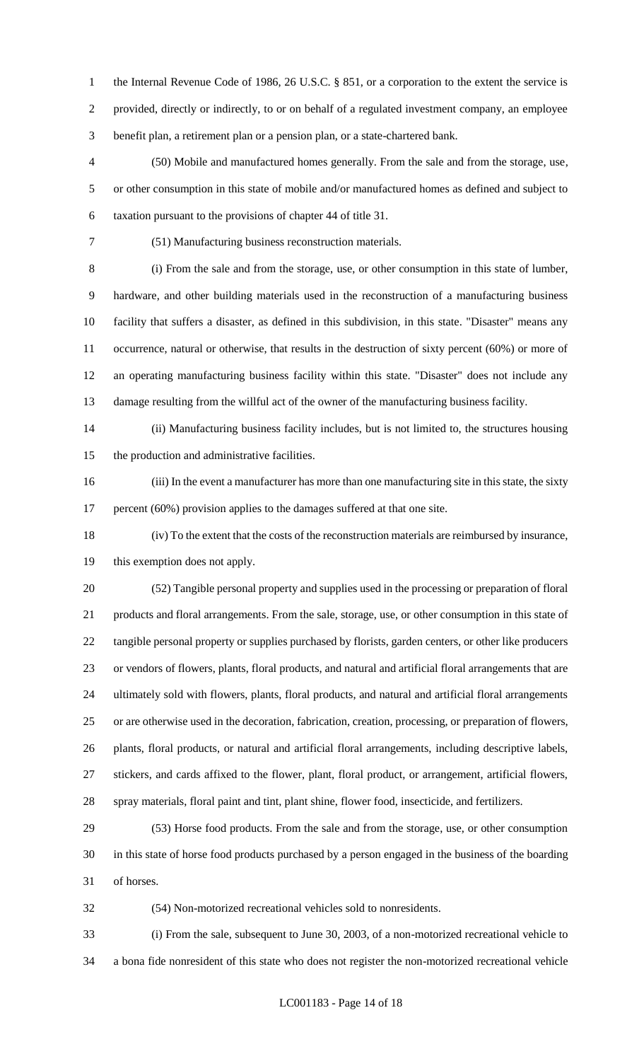1 the Internal Revenue Code of 1986, 26 U.S.C. § 851, or a corporation to the extent the service is provided, directly or indirectly, to or on behalf of a regulated investment company, an employee benefit plan, a retirement plan or a pension plan, or a state-chartered bank.

 (50) Mobile and manufactured homes generally. From the sale and from the storage, use, or other consumption in this state of mobile and/or manufactured homes as defined and subject to taxation pursuant to the provisions of chapter 44 of title 31.

(51) Manufacturing business reconstruction materials.

 (i) From the sale and from the storage, use, or other consumption in this state of lumber, hardware, and other building materials used in the reconstruction of a manufacturing business facility that suffers a disaster, as defined in this subdivision, in this state. "Disaster" means any occurrence, natural or otherwise, that results in the destruction of sixty percent (60%) or more of an operating manufacturing business facility within this state. "Disaster" does not include any damage resulting from the willful act of the owner of the manufacturing business facility.

 (ii) Manufacturing business facility includes, but is not limited to, the structures housing the production and administrative facilities.

 (iii) In the event a manufacturer has more than one manufacturing site in this state, the sixty 17 percent (60%) provision applies to the damages suffered at that one site.

 (iv) To the extent that the costs of the reconstruction materials are reimbursed by insurance, this exemption does not apply.

 (52) Tangible personal property and supplies used in the processing or preparation of floral products and floral arrangements. From the sale, storage, use, or other consumption in this state of tangible personal property or supplies purchased by florists, garden centers, or other like producers or vendors of flowers, plants, floral products, and natural and artificial floral arrangements that are ultimately sold with flowers, plants, floral products, and natural and artificial floral arrangements or are otherwise used in the decoration, fabrication, creation, processing, or preparation of flowers, plants, floral products, or natural and artificial floral arrangements, including descriptive labels, stickers, and cards affixed to the flower, plant, floral product, or arrangement, artificial flowers, spray materials, floral paint and tint, plant shine, flower food, insecticide, and fertilizers.

 (53) Horse food products. From the sale and from the storage, use, or other consumption in this state of horse food products purchased by a person engaged in the business of the boarding of horses.

(54) Non-motorized recreational vehicles sold to nonresidents.

 (i) From the sale, subsequent to June 30, 2003, of a non-motorized recreational vehicle to a bona fide nonresident of this state who does not register the non-motorized recreational vehicle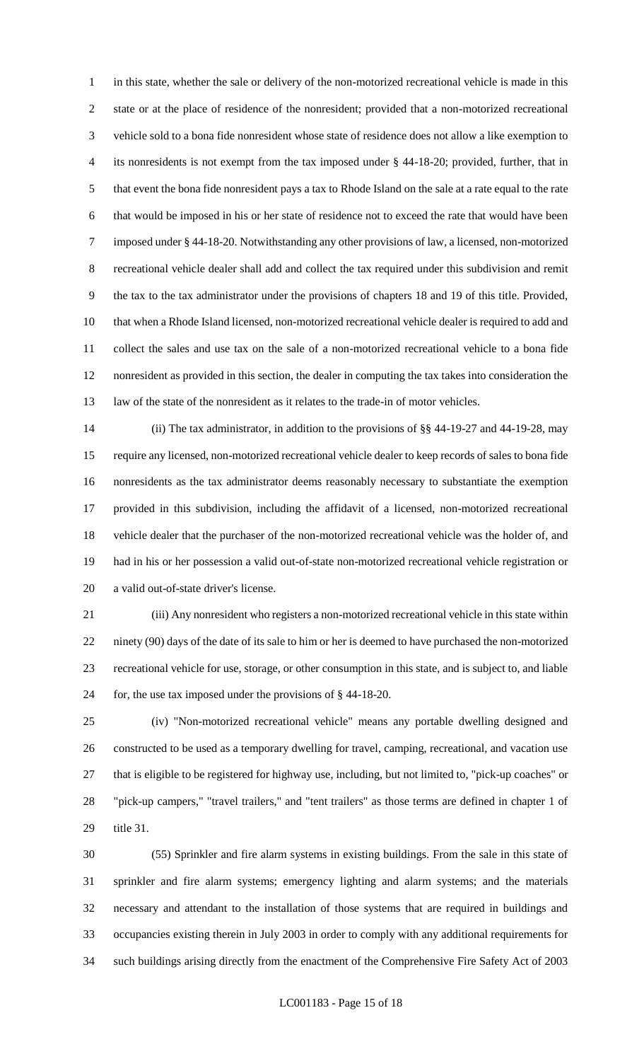in this state, whether the sale or delivery of the non-motorized recreational vehicle is made in this state or at the place of residence of the nonresident; provided that a non-motorized recreational vehicle sold to a bona fide nonresident whose state of residence does not allow a like exemption to its nonresidents is not exempt from the tax imposed under § 44-18-20; provided, further, that in that event the bona fide nonresident pays a tax to Rhode Island on the sale at a rate equal to the rate that would be imposed in his or her state of residence not to exceed the rate that would have been imposed under § 44-18-20. Notwithstanding any other provisions of law, a licensed, non-motorized recreational vehicle dealer shall add and collect the tax required under this subdivision and remit the tax to the tax administrator under the provisions of chapters 18 and 19 of this title. Provided, that when a Rhode Island licensed, non-motorized recreational vehicle dealer is required to add and collect the sales and use tax on the sale of a non-motorized recreational vehicle to a bona fide nonresident as provided in this section, the dealer in computing the tax takes into consideration the law of the state of the nonresident as it relates to the trade-in of motor vehicles.

 (ii) The tax administrator, in addition to the provisions of §§ 44-19-27 and 44-19-28, may require any licensed, non-motorized recreational vehicle dealer to keep records of sales to bona fide nonresidents as the tax administrator deems reasonably necessary to substantiate the exemption provided in this subdivision, including the affidavit of a licensed, non-motorized recreational vehicle dealer that the purchaser of the non-motorized recreational vehicle was the holder of, and had in his or her possession a valid out-of-state non-motorized recreational vehicle registration or a valid out-of-state driver's license.

 (iii) Any nonresident who registers a non-motorized recreational vehicle in this state within ninety (90) days of the date of its sale to him or her is deemed to have purchased the non-motorized recreational vehicle for use, storage, or other consumption in this state, and is subject to, and liable for, the use tax imposed under the provisions of § 44-18-20.

 (iv) "Non-motorized recreational vehicle" means any portable dwelling designed and constructed to be used as a temporary dwelling for travel, camping, recreational, and vacation use that is eligible to be registered for highway use, including, but not limited to, "pick-up coaches" or "pick-up campers," "travel trailers," and "tent trailers" as those terms are defined in chapter 1 of title 31.

 (55) Sprinkler and fire alarm systems in existing buildings. From the sale in this state of sprinkler and fire alarm systems; emergency lighting and alarm systems; and the materials necessary and attendant to the installation of those systems that are required in buildings and occupancies existing therein in July 2003 in order to comply with any additional requirements for such buildings arising directly from the enactment of the Comprehensive Fire Safety Act of 2003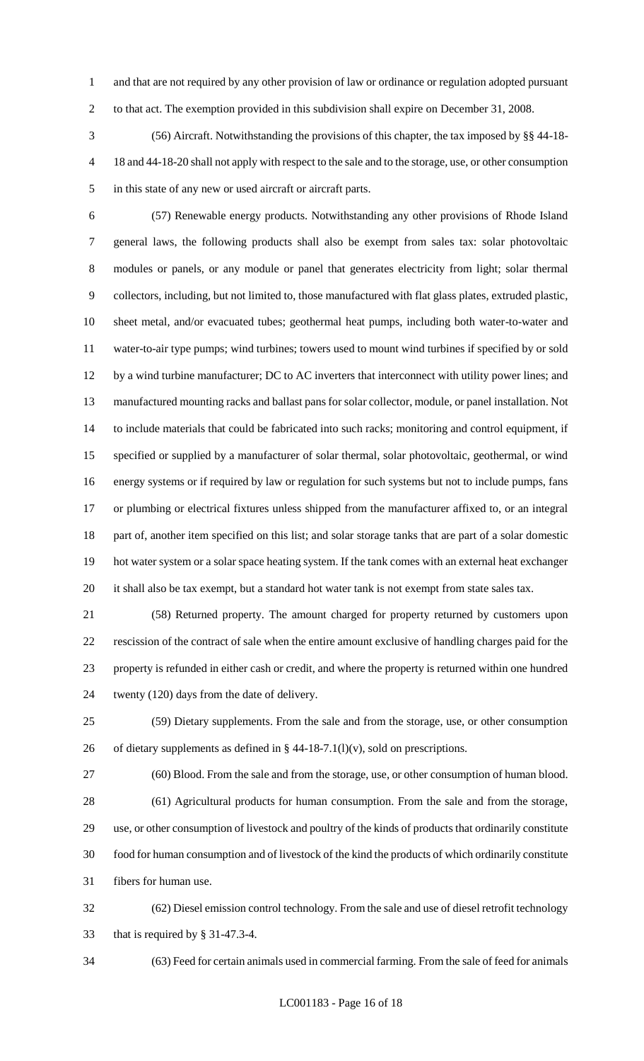and that are not required by any other provision of law or ordinance or regulation adopted pursuant to that act. The exemption provided in this subdivision shall expire on December 31, 2008.

 (56) Aircraft. Notwithstanding the provisions of this chapter, the tax imposed by §§ 44-18- 18 and 44-18-20 shall not apply with respect to the sale and to the storage, use, or other consumption in this state of any new or used aircraft or aircraft parts.

 (57) Renewable energy products. Notwithstanding any other provisions of Rhode Island general laws, the following products shall also be exempt from sales tax: solar photovoltaic modules or panels, or any module or panel that generates electricity from light; solar thermal collectors, including, but not limited to, those manufactured with flat glass plates, extruded plastic, sheet metal, and/or evacuated tubes; geothermal heat pumps, including both water-to-water and water-to-air type pumps; wind turbines; towers used to mount wind turbines if specified by or sold by a wind turbine manufacturer; DC to AC inverters that interconnect with utility power lines; and manufactured mounting racks and ballast pans for solar collector, module, or panel installation. Not to include materials that could be fabricated into such racks; monitoring and control equipment, if specified or supplied by a manufacturer of solar thermal, solar photovoltaic, geothermal, or wind energy systems or if required by law or regulation for such systems but not to include pumps, fans or plumbing or electrical fixtures unless shipped from the manufacturer affixed to, or an integral part of, another item specified on this list; and solar storage tanks that are part of a solar domestic hot water system or a solar space heating system. If the tank comes with an external heat exchanger it shall also be tax exempt, but a standard hot water tank is not exempt from state sales tax.

 (58) Returned property. The amount charged for property returned by customers upon rescission of the contract of sale when the entire amount exclusive of handling charges paid for the property is refunded in either cash or credit, and where the property is returned within one hundred twenty (120) days from the date of delivery.

 (59) Dietary supplements. From the sale and from the storage, use, or other consumption 26 of dietary supplements as defined in  $\S$  44-18-7.1(l)(v), sold on prescriptions.

 (60) Blood. From the sale and from the storage, use, or other consumption of human blood. (61) Agricultural products for human consumption. From the sale and from the storage, use, or other consumption of livestock and poultry of the kinds of products that ordinarily constitute food for human consumption and of livestock of the kind the products of which ordinarily constitute fibers for human use.

 (62) Diesel emission control technology. From the sale and use of diesel retrofit technology that is required by § 31-47.3-4.

(63) Feed for certain animals used in commercial farming. From the sale of feed for animals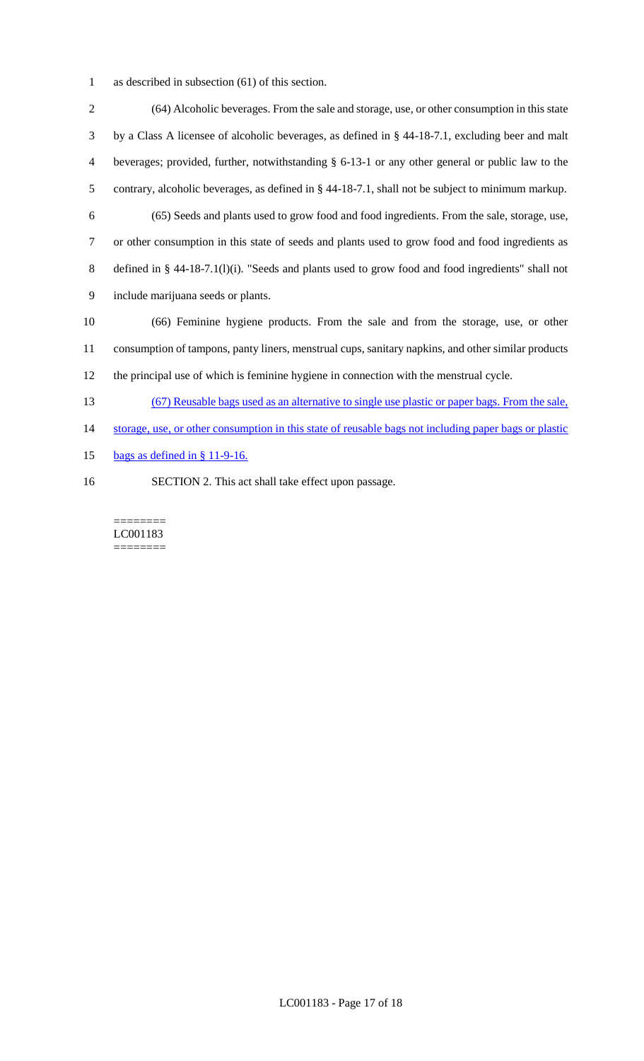as described in subsection (61) of this section.

 (64) Alcoholic beverages. From the sale and storage, use, or other consumption in this state by a Class A licensee of alcoholic beverages, as defined in § 44-18-7.1, excluding beer and malt beverages; provided, further, notwithstanding § 6-13-1 or any other general or public law to the contrary, alcoholic beverages, as defined in § 44-18-7.1, shall not be subject to minimum markup. (65) Seeds and plants used to grow food and food ingredients. From the sale, storage, use, or other consumption in this state of seeds and plants used to grow food and food ingredients as defined in § 44-18-7.1(l)(i). "Seeds and plants used to grow food and food ingredients" shall not include marijuana seeds or plants. (66) Feminine hygiene products. From the sale and from the storage, use, or other consumption of tampons, panty liners, menstrual cups, sanitary napkins, and other similar products the principal use of which is feminine hygiene in connection with the menstrual cycle. (67) Reusable bags used as an alternative to single use plastic or paper bags. From the sale, 14 storage, use, or other consumption in this state of reusable bags not including paper bags or plastic bags as defined in § 11-9-16.

SECTION 2. This act shall take effect upon passage.

======== LC001183 ========